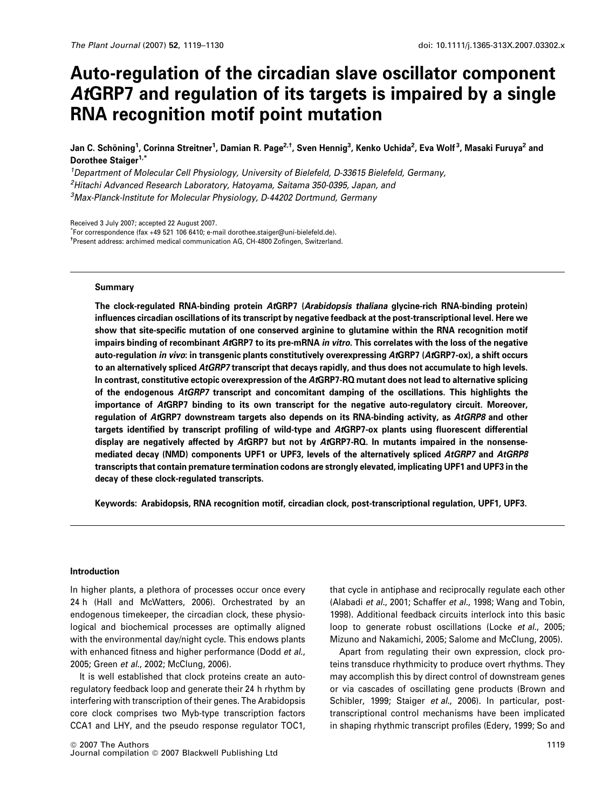# Auto-regulation of the circadian slave oscillator component AtGRP7 and regulation of its targets is impaired by a single RNA recognition motif point mutation

Jan C. Schöning<sup>1</sup>, Corinna Streitner<sup>1</sup>, Damian R. Page<sup>2,†</sup>, Sven Hennig<sup>3</sup>, Kenko Uchida<sup>2</sup>, Eva Wolf<sup>3</sup>, Masaki Furuya<sup>2</sup> and Dorothee Staiger<sup>1,\*</sup>

<sup>1</sup>Department of Molecular Cell Physiology, University of Bielefeld, D-33615 Bielefeld, Germany, <sup>2</sup>Hitachi Advanced Research Laboratory, Hatoyama, Saitama 350-0395, Japan, and 3 Max-Planck-Institute for Molecular Physiology, D-44202 Dortmund, Germany

Received 3 July 2007; accepted 22 August 2007.

\* For correspondence (fax +49 521 106 6410; e-mail dorothee.staiger@uni-bielefeld.de). † Present address: archimed medical communication AG, CH-4800 Zofingen, Switzerland.

#### Summary

The clock-regulated RNA-binding protein AtGRP7 (Arabidopsis thaliana glycine-rich RNA-binding protein) influences circadian oscillations of its transcript by negative feedback at the post-transcriptional level. Here we show that site-specific mutation of one conserved arginine to glutamine within the RNA recognition motif impairs binding of recombinant AtGRP7 to its pre-mRNA in vitro. This correlates with the loss of the negative auto-regulation in vivo: in transgenic plants constitutively overexpressing AtGRP7 (AtGRP7-ox), a shift occurs to an alternatively spliced AtGRP7 transcript that decays rapidly, and thus does not accumulate to high levels. In contrast, constitutive ectopic overexpression of the AtGRP7-RQ mutant does not lead to alternative splicing of the endogenous AtGRP7 transcript and concomitant damping of the oscillations. This highlights the importance of AtGRP7 binding to its own transcript for the negative auto-regulatory circuit. Moreover, regulation of AtGRP7 downstream targets also depends on its RNA-binding activity, as AtGRP8 and other targets identified by transcript profiling of wild-type and AtGRP7-ox plants using fluorescent differential display are negatively affected by AtGRP7 but not by AtGRP7-RQ. In mutants impaired in the nonsensemediated decay (NMD) components UPF1 or UPF3, levels of the alternatively spliced AtGRP7 and AtGRP8 transcripts that contain premature termination codons are strongly elevated, implicating UPF1 and UPF3 in the decay of these clock-regulated transcripts.

Keywords: Arabidopsis, RNA recognition motif, circadian clock, post-transcriptional regulation, UPF1, UPF3.

#### Introduction

In higher plants, a plethora of processes occur once every 24 h (Hall and McWatters, 2006). Orchestrated by an endogenous timekeeper, the circadian clock, these physiological and biochemical processes are optimally aligned with the environmental day/night cycle. This endows plants with enhanced fitness and higher performance (Dodd et al., 2005; Green et al., 2002; McClung, 2006).

It is well established that clock proteins create an autoregulatory feedback loop and generate their 24 h rhythm by interfering with transcription of their genes. The Arabidopsis core clock comprises two Myb-type transcription factors CCA1 and LHY, and the pseudo response regulator TOC1, that cycle in antiphase and reciprocally regulate each other (Alabadi et al., 2001; Schaffer et al., 1998; Wang and Tobin, 1998). Additional feedback circuits interlock into this basic loop to generate robust oscillations (Locke et al., 2005; Mizuno and Nakamichi, 2005; Salome and McClung, 2005).

Apart from regulating their own expression, clock proteins transduce rhythmicity to produce overt rhythms. They may accomplish this by direct control of downstream genes or via cascades of oscillating gene products (Brown and Schibler, 1999; Staiger et al., 2006). In particular, posttranscriptional control mechanisms have been implicated in shaping rhythmic transcript profiles (Edery, 1999; So and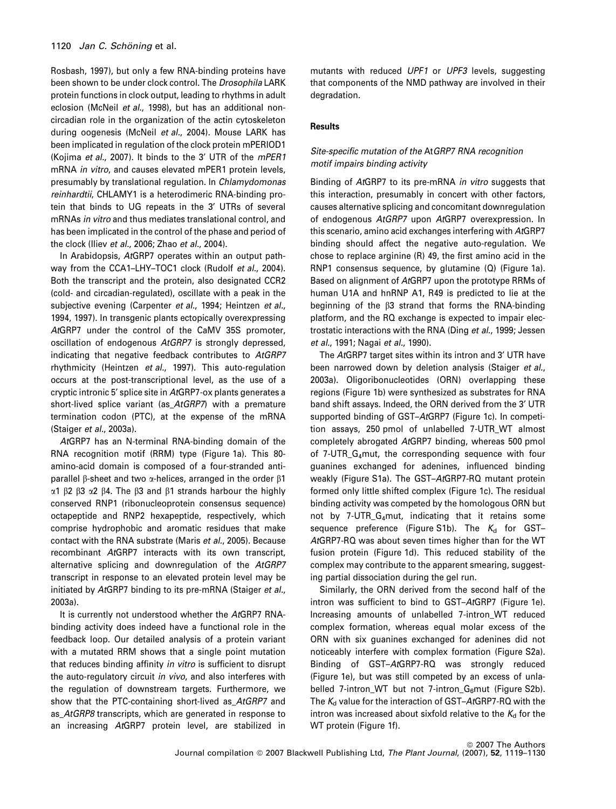Rosbash, 1997), but only a few RNA-binding proteins have been shown to be under clock control. The Drosophila LARK protein functions in clock output, leading to rhythms in adult eclosion (McNeil et al., 1998), but has an additional noncircadian role in the organization of the actin cytoskeleton during oogenesis (McNeil et al., 2004). Mouse LARK has been implicated in regulation of the clock protein mPERIOD1 (Kojima et al., 2007). It binds to the 3' UTR of the mPER1 mRNA in vitro, and causes elevated mPER1 protein levels, presumably by translational regulation. In Chlamydomonas reinhardtii, CHLAMY1 is a heterodimeric RNA-binding protein that binds to UG repeats in the 3' UTRs of several mRNAs in vitro and thus mediates translational control, and has been implicated in the control of the phase and period of the clock (Iliev et al., 2006; Zhao et al., 2004).

In Arabidopsis, AtGRP7 operates within an output pathway from the CCA1-LHY-TOC1 clock (Rudolf et al., 2004). Both the transcript and the protein, also designated CCR2 (cold- and circadian-regulated), oscillate with a peak in the subjective evening (Carpenter et al., 1994; Heintzen et al., 1994, 1997). In transgenic plants ectopically overexpressing AtGRP7 under the control of the CaMV 35S promoter, oscillation of endogenous AtGRP7 is strongly depressed, indicating that negative feedback contributes to AtGRP7 rhythmicity (Heintzen et al., 1997). This auto-regulation occurs at the post-transcriptional level, as the use of a cryptic intronic 5' splice site in AtGRP7-ox plants generates a short-lived splice variant (as AtGRP7) with a premature termination codon (PTC), at the expense of the mRNA (Staiger et al., 2003a).

AtGRP7 has an N-terminal RNA-binding domain of the RNA recognition motif (RRM) type (Figure 1a). This 80 amino-acid domain is composed of a four-stranded antiparallel  $\beta$ -sheet and two  $\alpha$ -helices, arranged in the order  $\beta$ 1  $\alpha$ 1  $\beta$ 2  $\beta$ 3  $\alpha$ 2  $\beta$ 4. The  $\beta$ 3 and  $\beta$ 1 strands harbour the highly conserved RNP1 (ribonucleoprotein consensus sequence) octapeptide and RNP2 hexapeptide, respectively, which comprise hydrophobic and aromatic residues that make contact with the RNA substrate (Maris et al., 2005). Because recombinant AtGRP7 interacts with its own transcript, alternative splicing and downregulation of the AtGRP7 transcript in response to an elevated protein level may be initiated by AtGRP7 binding to its pre-mRNA (Staiger et al., 2003a).

It is currently not understood whether the AtGRP7 RNAbinding activity does indeed have a functional role in the feedback loop. Our detailed analysis of a protein variant with a mutated RRM shows that a single point mutation that reduces binding affinity in vitro is sufficient to disrupt the auto-regulatory circuit in vivo, and also interferes with the regulation of downstream targets. Furthermore, we show that the PTC-containing short-lived as\_AtGRP7 and as\_AtGRP8 transcripts, which are generated in response to an increasing AtGRP7 protein level, are stabilized in

mutants with reduced UPF1 or UPF3 levels, suggesting that components of the NMD pathway are involved in their degradation.

# Results

# Site-specific mutation of the AtGRP7 RNA recognition motif impairs binding activity

Binding of AtGRP7 to its pre-mRNA in vitro suggests that this interaction, presumably in concert with other factors, causes alternative splicing and concomitant downregulation of endogenous AtGRP7 upon AtGRP7 overexpression. In this scenario, amino acid exchanges interfering with AtGRP7 binding should affect the negative auto-regulation. We chose to replace arginine (R) 49, the first amino acid in the RNP1 consensus sequence, by glutamine (Q) (Figure 1a). Based on alignment of AtGRP7 upon the prototype RRMs of human U1A and hnRNP A1, R49 is predicted to lie at the beginning of the  $\beta$ 3 strand that forms the RNA-binding platform, and the RQ exchange is expected to impair electrostatic interactions with the RNA (Ding et al., 1999; Jessen et al., 1991; Nagai et al., 1990).

The AtGRP7 target sites within its intron and 3' UTR have been narrowed down by deletion analysis (Staiger et al., 2003a). Oligoribonucleotides (ORN) overlapping these regions (Figure 1b) were synthesized as substrates for RNA band shift assays. Indeed, the ORN derived from the 3' UTR supported binding of GST–AtGRP7 (Figure 1c). In competition assays, 250 pmol of unlabelled 7-UTR\_WT almost completely abrogated AtGRP7 binding, whereas 500 pmol of  $7$ -UTR\_G<sub>4</sub>mut, the corresponding sequence with four guanines exchanged for adenines, influenced binding weakly (Figure S1a). The GST–AtGRP7-RQ mutant protein formed only little shifted complex (Figure 1c). The residual binding activity was competed by the homologous ORN but not by 7-UTR\_G4mut, indicating that it retains some sequence preference (Figure S1b). The  $K_d$  for GST-AtGRP7-RQ was about seven times higher than for the WT fusion protein (Figure 1d). This reduced stability of the complex may contribute to the apparent smearing, suggesting partial dissociation during the gel run.

Similarly, the ORN derived from the second half of the intron was sufficient to bind to GST-AtGRP7 (Figure 1e). Increasing amounts of unlabelled 7-intron\_WT reduced complex formation, whereas equal molar excess of the ORN with six guanines exchanged for adenines did not noticeably interfere with complex formation (Figure S2a). Binding of GST–AtGRP7-RQ was strongly reduced (Figure 1e), but was still competed by an excess of unlabelled 7-intron\_WT but not 7-intron\_ $G_6$ mut (Figure S2b). The  $K_d$  value for the interaction of GST–AtGRP7-RQ with the intron was increased about sixfold relative to the  $K_d$  for the WT protein (Figure 1f).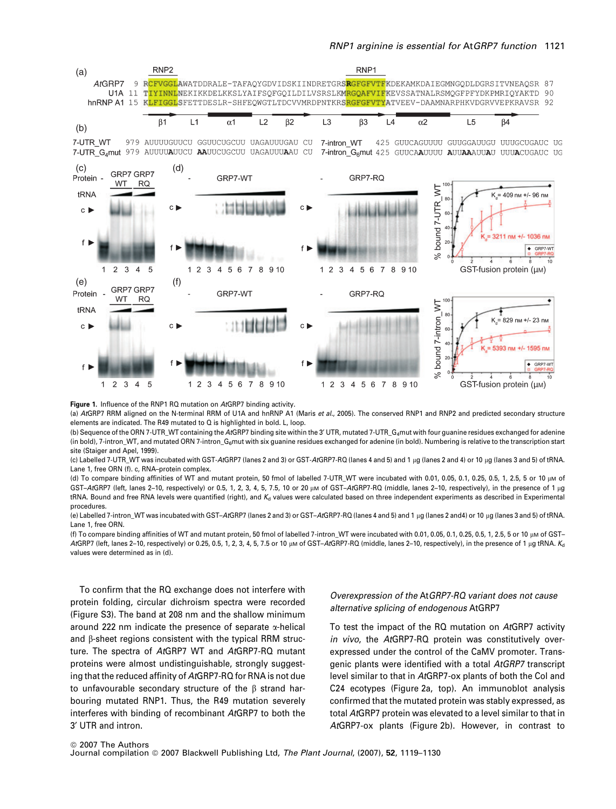

Figure 1. Influence of the RNP1 RQ mutation on AtGRP7 binding activity.

(a) AtGRP7 RRM aligned on the N-terminal RRM of U1A and hnRNP A1 (Maris et al., 2005). The conserved RNP1 and RNP2 and predicted secondary structure elements are indicated. The R49 mutated to Q is highlighted in bold. L, loop.

(b) Sequence of the ORN 7-UTR\_WT containing the AtGRP7 binding site within the 3' UTR, mutated 7-UTR G<sub>4</sub>mut with four quanine residues exchanged for adenine (in bold), 7-intron\_WT, and mutated ORN 7-intron\_G<sub>6</sub>mut with six guanine residues exchanged for adenine (in bold). Numbering is relative to the transcription start site (Staiger and Apel, 1999).

(c) Labelled 7-UTR\_WT was incubated with GST-ArGRP7 (lanes 2 and 3) or GST-ArGRP7-RQ (lanes 4 and 5) and 1 µg (lanes 2 and 4) or 10 µg (lanes 3 and 5) of tRNA. Lane 1, free ORN (f). c, RNA–protein complex.

(d) To compare binding affinities of WT and mutant protein, 50 fmol of labelled 7-UTR\_WT were incubated with 0.01, 0.05, 0.1, 0.25, 0.5, 1, 2.5, 5 or 10  $\mu$ M of GST-AtGRP7 (left, lanes 2-10, respectively) or 0.5, 1, 2, 3, 4, 5, 7.5, 10 or 20  $\mu$ m of GST-AtGRP7-RQ (middle, lanes 2-10, respectively), in the presence of 1  $\mu$ g tRNA. Bound and free RNA levels were quantified (right), and  $K_d$  values were calculated based on three independent experiments as described in Experimental procedures.

(e) Labelled 7-intron\_WT was incubated with GST–AtGRP7 (lanes 2 and 3) or GST–AtGRP7-RQ (lanes 4 and 5) and 1 µg (lanes 2 and4) or 10 µg (lanes 3 and 5) of tRNA. Lane 1, free ORN.

(f) To compare binding affinities of WT and mutant protein, 50 fmol of labelled 7-intron\_WT were incubated with 0.01, 0.05, 0.1, 0.25, 0.5, 1, 2.5, 5 or 10  $\mu$ M of GST– AtGRP7 (left, lanes 2-10, respectively) or 0.25, 0.5, 1, 2, 3, 4, 5, 7.5 or 10  $\mu$ M of GST-AtGRP7-RQ (middle, lanes 2-10, respectively), in the presence of 1  $\mu$ g tRNA. K<sub>d</sub> values were determined as in (d).

To confirm that the RQ exchange does not interfere with protein folding, circular dichroism spectra were recorded (Figure S3). The band at 208 nm and the shallow minimum around 222 nm indicate the presence of separate  $\alpha$ -helical and B-sheet regions consistent with the typical RRM structure. The spectra of AtGRP7 WT and AtGRP7-RQ mutant proteins were almost undistinguishable, strongly suggesting that the reduced affinity of AtGRP7-RQ for RNA is not due to unfavourable secondary structure of the  $\beta$  strand harbouring mutated RNP1. Thus, the R49 mutation severely interferes with binding of recombinant AtGRP7 to both the 3¢ UTR and intron.

# Overexpression of the AtGRP7-RQ variant does not cause alternative splicing of endogenous AtGRP7

To test the impact of the RQ mutation on AtGRP7 activity in vivo, the AtGRP7-RQ protein was constitutively overexpressed under the control of the CaMV promoter. Transgenic plants were identified with a total AtGRP7 transcript level similar to that in AtGRP7-ox plants of both the Col and C24 ecotypes (Figure 2a, top). An immunoblot analysis confirmed that the mutated protein was stably expressed, as total AtGRP7 protein was elevated to a level similar to that in AtGRP7-ox plants (Figure 2b). However, in contrast to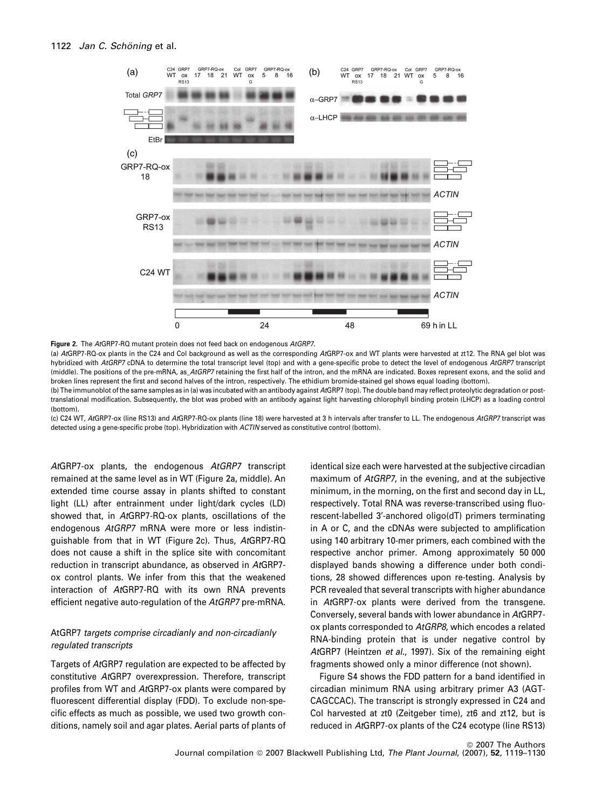

Figure 2. The AtGRP7-RQ mutant protein does not feed back on endogenous AtGRP7.

(a) AtGRP7-RQ-ox plants in the C24 and Col background as well as the corresponding AtGRP7-ox and WT plants were harvested at zt12. The RNA gel blot was hybridized with AtGRP7 cDNA to determine the total transcript level (top) and with a gene-specific probe to detect the level of endogenous AtGRP7 transcript (middle). The positions of the pre-mRNA, as\_AtGRP7 retaining the first half of the intron, and the mRNA are indicated. Boxes represent exons, and the solid and broken lines represent the first and second halves of the intron, respectively. The ethidium bromide-stained gel shows equal loading (bottom).

(b) The immunoblot of the same samples as in (a) was incubated with an antibody against AtGRP7 (top). The double band may reflect proteolytic degradation or posttranslational modification. Subsequently, the blot was probed with an antibody against light harvesting chlorophyll binding protein (LHCP) as a loading control (bottom).

(c) C24 WT, AtGRP7-ox (line RS13) and AtGRP7-RQ-ox plants (line 18) were harvested at 3 h intervals after transfer to LL. The endogenous AtGRP7 transcript was detected using a gene-specific probe (top). Hybridization with ACTIN served as constitutive control (bottom).

AtGRP7-ox plants, the endogenous AtGRP7 transcript remained at the same level as in WT (Figure 2a, middle). An extended time course assay in plants shifted to constant light (LL) after entrainment under light/dark cycles (LD) showed that, in AtGRP7-RQ-ox plants, oscillations of the endogenous AtGRP7 mRNA were more or less indistinguishable from that in WT (Figure 2c). Thus, AtGRP7-RQ does not cause a shift in the splice site with concomitant reduction in transcript abundance, as observed in AtGRP7 ox control plants. We infer from this that the weakened interaction of AtGRP7-RQ with its own RNA prevents efficient negative auto-regulation of the AtGRP7 pre-mRNA.

# AtGRP7 targets comprise circadianly and non-circadianly regulated transcripts

Targets of AtGRP7 regulation are expected to be affected by constitutive AtGRP7 overexpression. Therefore, transcript profiles from WT and AtGRP7-ox plants were compared by fluorescent differential display (FDD). To exclude non-specific effects as much as possible, we used two growth conditions, namely soil and agar plates. Aerial parts of plants of identical size each were harvested at the subjective circadian maximum of AtGRP7, in the evening, and at the subjective minimum, in the morning, on the first and second day in LL, respectively. Total RNA was reverse-transcribed using fluorescent-labelled 3¢-anchored oligo(dT) primers terminating in A or C, and the cDNAs were subjected to amplification using 140 arbitrary 10-mer primers, each combined with the respective anchor primer. Among approximately 50 000 displayed bands showing a difference under both conditions, 28 showed differences upon re-testing. Analysis by PCR revealed that several transcripts with higher abundance in AtGRP7-ox plants were derived from the transgene. Conversely, several bands with lower abundance in AtGRP7 ox plants corresponded to AtGRP8, which encodes a related RNA-binding protein that is under negative control by AtGRP7 (Heintzen et al., 1997). Six of the remaining eight fragments showed only a minor difference (not shown).

Figure S4 shows the FDD pattern for a band identified in circadian minimum RNA using arbitrary primer A3 (AGT-CAGCCAC). The transcript is strongly expressed in C24 and Col harvested at zt0 (Zeitgeber time), zt6 and zt12, but is reduced in AtGRP7-ox plants of the C24 ecotype (line RS13)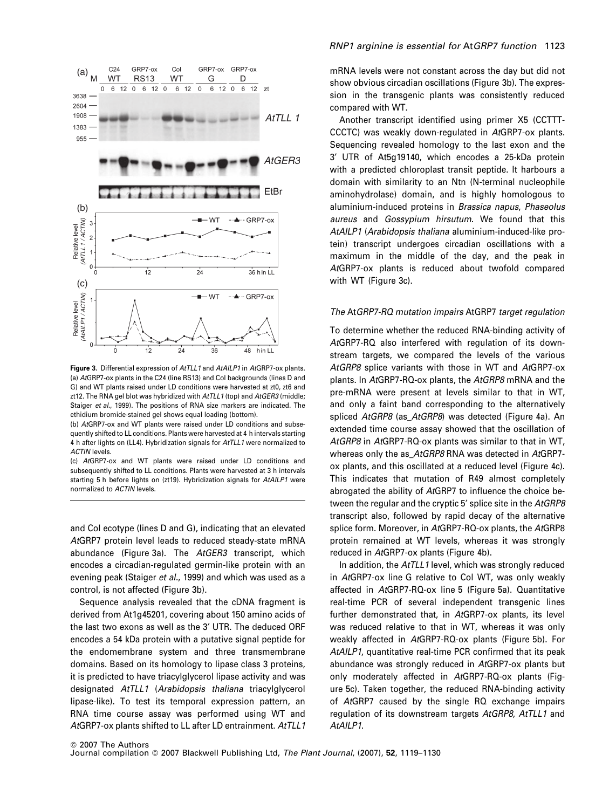

Figure 3. Differential expression of AtTLL1 and AtAILP1 in AtGRP7-ox plants. (a) AtGRP7-ox plants in the C24 (line RS13) and Col backgrounds (lines D and G) and WT plants raised under LD conditions were harvested at zt0, zt6 and zt12. The RNA gel blot was hybridized with AtTLL1 (top) and AtGER3 (middle; Staiger et al., 1999). The positions of RNA size markers are indicated. The ethidium bromide-stained gel shows equal loading (bottom).

(b) AtGRP7-ox and WT plants were raised under LD conditions and subsequently shifted to LL conditions. Plants were harvested at 4 h intervals starting 4 h after lights on (LL4). Hybridization signals for AtTLL1 were normalized to ACTIN levels.

(c) AtGRP7-ox and WT plants were raised under LD conditions and subsequently shifted to LL conditions. Plants were harvested at 3 h intervals starting 5 h before lights on (zt19). Hybridization signals for AtAILP1 were normalized to ACTIN levels.

and Col ecotype (lines D and G), indicating that an elevated AtGRP7 protein level leads to reduced steady-state mRNA abundance (Figure 3a). The AtGER3 transcript, which encodes a circadian-regulated germin-like protein with an evening peak (Staiger et al., 1999) and which was used as a control, is not affected (Figure 3b).

Sequence analysis revealed that the cDNA fragment is derived from At1g45201, covering about 150 amino acids of the last two exons as well as the 3' UTR. The deduced ORF encodes a 54 kDa protein with a putative signal peptide for the endomembrane system and three transmembrane domains. Based on its homology to lipase class 3 proteins, it is predicted to have triacylglycerol lipase activity and was designated AtTLL1 (Arabidopsis thaliana triacylglycerol lipase-like). To test its temporal expression pattern, an RNA time course assay was performed using WT and AtGRP7-ox plants shifted to LL after LD entrainment. AtTLL1 mRNA levels were not constant across the day but did not show obvious circadian oscillations (Figure 3b). The expression in the transgenic plants was consistently reduced compared with WT.

Another transcript identified using primer X5 (CCTTT-CCCTC) was weakly down-regulated in AtGRP7-ox plants. Sequencing revealed homology to the last exon and the 3¢ UTR of At5g19140, which encodes a 25-kDa protein with a predicted chloroplast transit peptide. It harbours a domain with similarity to an Ntn (N-terminal nucleophile aminohydrolase) domain, and is highly homologous to aluminium-induced proteins in Brassica napus, Phaseolus aureus and Gossypium hirsutum. We found that this AtAILP1 (Arabidopsis thaliana aluminium-induced-like protein) transcript undergoes circadian oscillations with a maximum in the middle of the day, and the peak in AtGRP7-ox plants is reduced about twofold compared with WT (Figure 3c).

#### The AtGRP7-RQ mutation impairs AtGRP7 target regulation

To determine whether the reduced RNA-binding activity of AtGRP7-RQ also interfered with regulation of its downstream targets, we compared the levels of the various AtGRP8 splice variants with those in WT and AtGRP7-ox plants. In AtGRP7-RQ-ox plants, the AtGRP8 mRNA and the pre-mRNA were present at levels similar to that in WT, and only a faint band corresponding to the alternatively spliced AtGRP8 (as AtGRP8) was detected (Figure 4a). An extended time course assay showed that the oscillation of AtGRP8 in AtGRP7-RQ-ox plants was similar to that in WT, whereas only the as\_AtGRP8 RNA was detected in AtGRP7ox plants, and this oscillated at a reduced level (Figure 4c). This indicates that mutation of R49 almost completely abrogated the ability of AtGRP7 to influence the choice between the regular and the cryptic 5' splice site in the AtGRP8 transcript also, followed by rapid decay of the alternative splice form. Moreover, in AtGRP7-RQ-ox plants, the AtGRP8 protein remained at WT levels, whereas it was strongly reduced in AtGRP7-ox plants (Figure 4b).

In addition, the AtTLL1 level, which was strongly reduced in AtGRP7-ox line G relative to Col WT, was only weakly affected in AtGRP7-RQ-ox line 5 (Figure 5a). Quantitative real-time PCR of several independent transgenic lines further demonstrated that, in AtGRP7-ox plants, its level was reduced relative to that in WT, whereas it was only weakly affected in AtGRP7-RQ-ox plants (Figure 5b). For AtAILP1, quantitative real-time PCR confirmed that its peak abundance was strongly reduced in AtGRP7-ox plants but only moderately affected in AtGRP7-RQ-ox plants (Figure 5c). Taken together, the reduced RNA-binding activity of AtGRP7 caused by the single RQ exchange impairs regulation of its downstream targets AtGRP8, AtTLL1 and AtAILP1.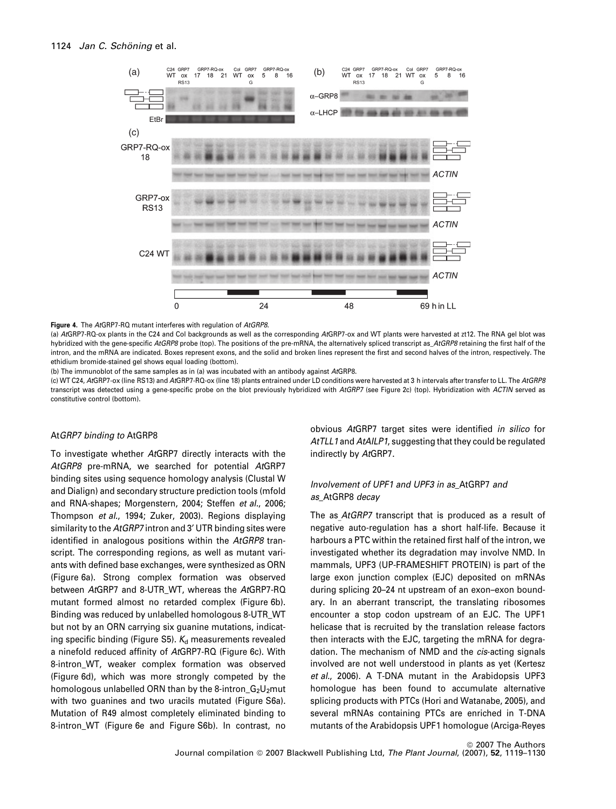

Figure 4. The AtGRP7-RQ mutant interferes with regulation of AtGRP8.

(a) AtGRP7-RQ-ox plants in the C24 and Col backgrounds as well as the corresponding AtGRP7-ox and WT plants were harvested at zt12. The RNA gel blot was hybridized with the gene-specific AtGRP8 probe (top). The positions of the pre-mRNA, the alternatively spliced transcript as  $AtGRPR$  retaining the first half of the intron, and the mRNA are indicated. Boxes represent exons, and the solid and broken lines represent the first and second halves of the intron, respectively. The ethidium bromide-stained gel shows equal loading (bottom).

(b) The immunoblot of the same samples as in (a) was incubated with an antibody against AtGRP8.

(c) WT C24, AtGRP7-ox (line RS13) and AtGRP7-RQ-ox (line 18) plants entrained under LD conditions were harvested at 3 h intervals after transfer to LL. The AtGRP8 transcript was detected using a gene-specific probe on the blot previously hybridized with AtGRP7 (see Figure 2c) (top). Hybridization with ACTIN served as constitutive control (bottom).

## AtGRP7 binding to AtGRP8

To investigate whether AtGRP7 directly interacts with the AtGRP8 pre-mRNA, we searched for potential AtGRP7 binding sites using sequence homology analysis (Clustal W and Dialign) and secondary structure prediction tools (mfold and RNA-shapes; Morgenstern, 2004; Steffen et al., 2006; Thompson et al., 1994; Zuker, 2003). Regions displaying similarity to the AtGRP7 intron and 3' UTR binding sites were identified in analogous positions within the AtGRP8 transcript. The corresponding regions, as well as mutant variants with defined base exchanges, were synthesized as ORN (Figure 6a). Strong complex formation was observed between AtGRP7 and 8-UTR\_WT, whereas the AtGRP7-RQ mutant formed almost no retarded complex (Figure 6b). Binding was reduced by unlabelled homologous 8-UTR\_WT but not by an ORN carrying six guanine mutations, indicating specific binding (Figure S5).  $K_d$  measurements revealed a ninefold reduced affinity of AtGRP7-RQ (Figure 6c). With 8-intron\_WT, weaker complex formation was observed (Figure 6d), which was more strongly competed by the homologous unlabelled ORN than by the 8-intron\_ $G_2U_2$ mut with two guanines and two uracils mutated (Figure S6a). Mutation of R49 almost completely eliminated binding to 8-intron\_WT (Figure 6e and Figure S6b). In contrast, no

obvious AtGRP7 target sites were identified in silico for AtTLL1 and AtAILP1, suggesting that they could be regulated indirectly by AtGRP7.

# Involvement of UPF1 and UPF3 in as\_AtGRP7 and as\_AtGRP8 decay

The as AtGRP7 transcript that is produced as a result of negative auto-regulation has a short half-life. Because it harbours a PTC within the retained first half of the intron, we investigated whether its degradation may involve NMD. In mammals, UPF3 (UP-FRAMESHIFT PROTEIN) is part of the large exon junction complex (EJC) deposited on mRNAs during splicing 20–24 nt upstream of an exon–exon boundary. In an aberrant transcript, the translating ribosomes encounter a stop codon upstream of an EJC. The UPF1 helicase that is recruited by the translation release factors then interacts with the EJC, targeting the mRNA for degradation. The mechanism of NMD and the *cis*-acting signals involved are not well understood in plants as yet (Kertesz et al., 2006). A T-DNA mutant in the Arabidopsis UPF3 homologue has been found to accumulate alternative splicing products with PTCs (Hori and Watanabe, 2005), and several mRNAs containing PTCs are enriched in T-DNA mutants of the Arabidopsis UPF1 homologue (Arciga-Reyes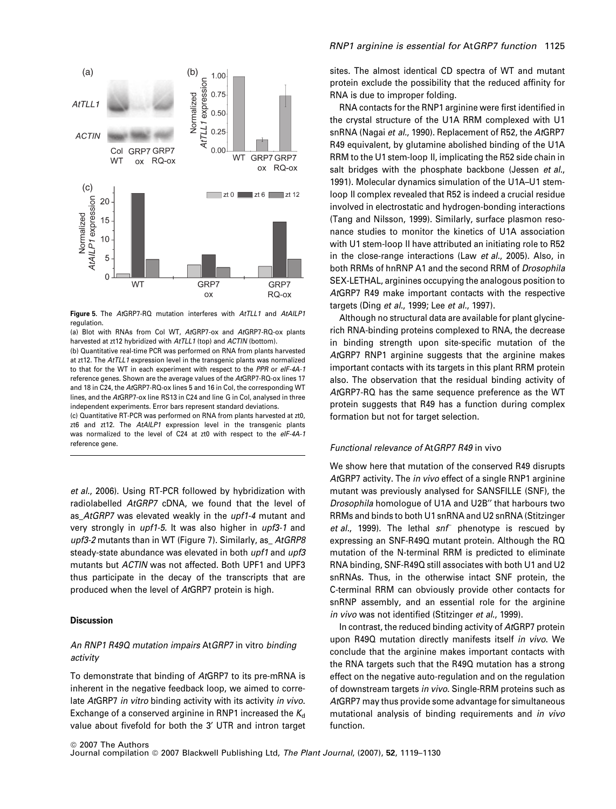

Figure 5. The AtGRP7-RQ mutation interferes with AtTLL1 and AtAILP1 regulation.

(a) Blot with RNAs from Col WT, AtGRP7-ox and AtGRP7-RQ-ox plants harvested at zt12 hybridized with AtTLL1 (top) and ACTIN (bottom). (b) Quantitative real-time PCR was performed on RNA from plants harvested at zt12. The AtTLL1 expression level in the transgenic plants was normalized to that for the WT in each experiment with respect to the PPR or eIF-4A-1 reference genes. Shown are the average values of the AtGRP7-RQ-ox lines 17 and 18 in C24, the AtGRP7-RQ-ox lines 5 and 16 in Col, the corresponding WT lines, and the AtGRP7-ox line RS13 in C24 and line G in Col, analysed in three independent experiments. Error bars represent standard deviations.

(c) Quantitative RT-PCR was performed on RNA from plants harvested at zt0, zt6 and zt12. The AtAILP1 expression level in the transgenic plants was normalized to the level of C24 at zt0 with respect to the eIF-4A-1 reference gene.

et al., 2006). Using RT-PCR followed by hybridization with radiolabelled AtGRP7 cDNA, we found that the level of as\_AtGRP7 was elevated weakly in the upf1-4 mutant and very strongly in upf1-5. It was also higher in upf3-1 and upf3-2 mutants than in WT (Figure 7). Similarly, as\_AtGRP8 steady-state abundance was elevated in both upf1 and upf3 mutants but ACTIN was not affected. Both UPF1 and UPF3 thus participate in the decay of the transcripts that are produced when the level of AtGRP7 protein is high.

## **Discussion**

# An RNP1 R49Q mutation impairs AtGRP7 in vitro binding activity

To demonstrate that binding of AtGRP7 to its pre-mRNA is inherent in the negative feedback loop, we aimed to correlate AtGRP7 in vitro binding activity with its activity in vivo. Exchange of a conserved arginine in RNP1 increased the  $K_d$ value about fivefold for both the 3' UTR and intron target

## RNP1 arginine is essential for AtGRP7 function 1125

sites. The almost identical CD spectra of WT and mutant protein exclude the possibility that the reduced affinity for RNA is due to improper folding.

RNA contacts for the RNP1 arginine were first identified in the crystal structure of the U1A RRM complexed with U1 snRNA (Nagai et al., 1990). Replacement of R52, the AtGRP7 R49 equivalent, by glutamine abolished binding of the U1A RRM to the U1 stem-loop II, implicating the R52 side chain in salt bridges with the phosphate backbone (Jessen et al., 1991). Molecular dynamics simulation of the U1A–U1 stemloop II complex revealed that R52 is indeed a crucial residue involved in electrostatic and hydrogen-bonding interactions (Tang and Nilsson, 1999). Similarly, surface plasmon resonance studies to monitor the kinetics of U1A association with U1 stem-loop II have attributed an initiating role to R52 in the close-range interactions (Law et al., 2005). Also, in both RRMs of hnRNP A1 and the second RRM of Drosophila SEX-LETHAL, arginines occupying the analogous position to AtGRP7 R49 make important contacts with the respective targets (Ding et al., 1999; Lee et al., 1997).

Although no structural data are available for plant glycinerich RNA-binding proteins complexed to RNA, the decrease in binding strength upon site-specific mutation of the AtGRP7 RNP1 arginine suggests that the arginine makes important contacts with its targets in this plant RRM protein also. The observation that the residual binding activity of AtGRP7-RQ has the same sequence preference as the WT protein suggests that R49 has a function during complex formation but not for target selection.

## Functional relevance of AtGRP7 R49 in vivo

We show here that mutation of the conserved R49 disrupts AtGRP7 activity. The in vivo effect of a single RNP1 arginine mutant was previously analysed for SANSFILLE (SNF), the Drosophila homologue of U1A and U2B" that harbours two RRMs and binds to both U1 snRNA and U2 snRNA (Stitzinger et al., 1999). The lethal snf phenotype is rescued by expressing an SNF-R49Q mutant protein. Although the RQ mutation of the N-terminal RRM is predicted to eliminate RNA binding, SNF-R49Q still associates with both U1 and U2 snRNAs. Thus, in the otherwise intact SNF protein, the C-terminal RRM can obviously provide other contacts for snRNP assembly, and an essential role for the arginine in vivo was not identified (Stitzinger et al., 1999).

In contrast, the reduced binding activity of AtGRP7 protein upon R49Q mutation directly manifests itself in vivo. We conclude that the arginine makes important contacts with the RNA targets such that the R49Q mutation has a strong effect on the negative auto-regulation and on the regulation of downstream targets in vivo. Single-RRM proteins such as AtGRP7 may thus provide some advantage for simultaneous mutational analysis of binding requirements and in vivo function.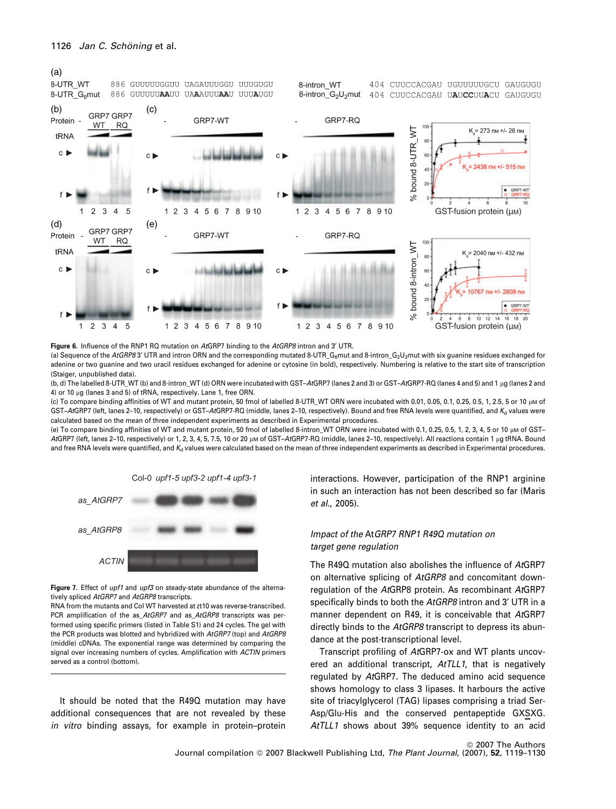

Figure 6. Influence of the RNP1 RQ mutation on AtGRP7 binding to the AtGRP8 intron and 3' UTR.

(a) Sequence of the AtGRP8 3' UTR and intron ORN and the corresponding mutated 8-UTR\_G<sub>6</sub>mut and 8-intron\_G<sub>2</sub>U<sub>2</sub>mut with six guanine residues exchanged for adenine or two guanine and two uracil residues exchanged for adenine or cytosine (in bold), respectively. Numbering is relative to the start site of transcription (Staiger, unpublished data).

(b, d) The labelled 8-UTR\_WT (b) and 8-intron\_WT (d) ORN were incubated with GST-AfGRP7 (lanes 2 and 3) or GST-AfGRP7-RQ (lanes 4 and 5) and 1 µg (lanes 2 and 4) or 10 µg (lanes 3 and 5) of tRNA, respectively. Lane 1, free ORN.

(c) To compare binding affinities of WT and mutant protein, 50 fmol of labelled 8-UTR\_WT ORN were incubated with 0.01, 0.05, 0.1, 0.25, 0.5, 1, 2.5, 5 or 10 µM of GST-AtGRP7 (left, lanes 2-10, respectively) or GST-AtGRP7-RQ (middle, lanes 2-10, respectively). Bound and free RNA levels were quantified, and K<sub>d</sub> values were calculated based on the mean of three independent experiments as described in Experimental procedures.

(e) To compare binding affinities of WT and mutant protein, 50 fmol of labelled 8-intron\_WT ORN were incubated with 0.1, 0.25, 0.5, 1, 2, 3, 4, 5 or 10 µM of GST-AtGRP7 (left, lanes 2-10, respectively) or 1, 2, 3, 4, 5, 7.5, 10 or 20 µm of GST-AtGRP7-RQ (middle, lanes 2-10, respectively). All reactions contain 1 µg tRNA. Bound and free RNA levels were quantified, and  $K_d$  values were calculated based on the mean of three independent experiments as described in Experimental procedures.



Figure 7. Effect of upf1 and upf3 on steady-state abundance of the alternatively spliced AtGRP7 and AtGRP8 transcripts.

RNA from the mutants and Col WT harvested at zt10 was reverse-transcribed. PCR amplification of the as\_AtGRP7 and as\_AtGRP8 transcripts was performed using specific primers (listed in Table S1) and 24 cycles. The gel with the PCR products was blotted and hybridized with AtGRP7 (top) and AtGRP8 (middle) cDNAs. The exponential range was determined by comparing the signal over increasing numbers of cycles. Amplification with ACTIN primers served as a control (bottom).

It should be noted that the R49Q mutation may have additional consequences that are not revealed by these in vitro binding assays, for example in protein–protein interactions. However, participation of the RNP1 arginine in such an interaction has not been described so far (Maris et al., 2005).

# Impact of the AtGRP7 RNP1 R49Q mutation on target gene regulation

The R49Q mutation also abolishes the influence of AtGRP7 on alternative splicing of AtGRP8 and concomitant downregulation of the AtGRP8 protein. As recombinant AtGRP7 specifically binds to both the AtGRP8 intron and 3' UTR in a manner dependent on R49, it is conceivable that AtGRP7 directly binds to the AtGRP8 transcript to depress its abundance at the post-transcriptional level.

Transcript profiling of AtGRP7-ox and WT plants uncovered an additional transcript, AtTLL1, that is negatively regulated by AtGRP7. The deduced amino acid sequence shows homology to class 3 lipases. It harbours the active site of triacylglycerol (TAG) lipases comprising a triad Ser-Asp/Glu-His and the conserved pentapeptide GXSXG. AtTLL1 shows about 39% sequence identity to an acid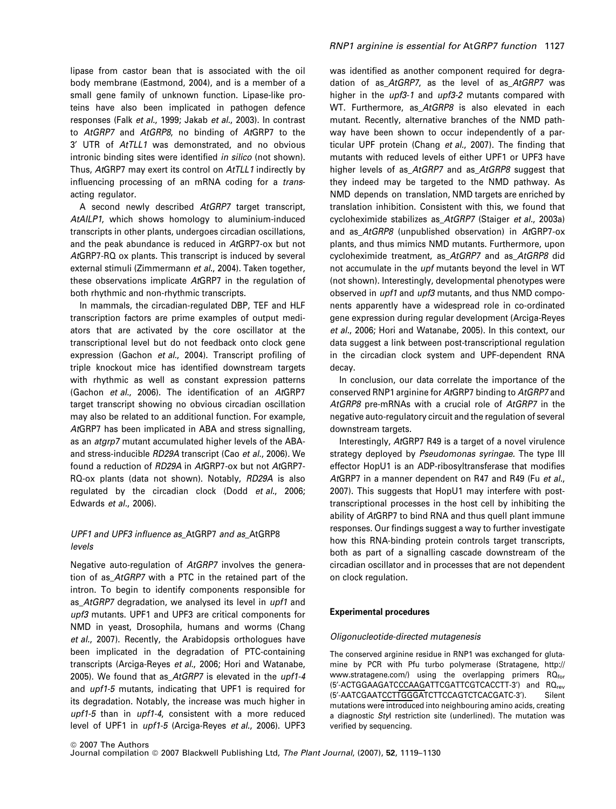lipase from castor bean that is associated with the oil body membrane (Eastmond, 2004), and is a member of a small gene family of unknown function. Lipase-like proteins have also been implicated in pathogen defence responses (Falk et al., 1999; Jakab et al., 2003). In contrast to AtGRP7 and AtGRP8, no binding of AtGRP7 to the 3¢ UTR of AtTLL1 was demonstrated, and no obvious intronic binding sites were identified in silico (not shown). Thus, AtGRP7 may exert its control on AtTLL1 indirectly by influencing processing of an mRNA coding for a transacting regulator.

A second newly described AtGRP7 target transcript, AtAILP1, which shows homology to aluminium-induced transcripts in other plants, undergoes circadian oscillations, and the peak abundance is reduced in AtGRP7-ox but not AtGRP7-RQ ox plants. This transcript is induced by several external stimuli (Zimmermann et al., 2004). Taken together, these observations implicate AtGRP7 in the regulation of both rhythmic and non-rhythmic transcripts.

In mammals, the circadian-regulated DBP, TEF and HLF transcription factors are prime examples of output mediators that are activated by the core oscillator at the transcriptional level but do not feedback onto clock gene expression (Gachon et al., 2004). Transcript profiling of triple knockout mice has identified downstream targets with rhythmic as well as constant expression patterns (Gachon et al., 2006). The identification of an AtGRP7 target transcript showing no obvious circadian oscillation may also be related to an additional function. For example, AtGRP7 has been implicated in ABA and stress signalling, as an atgrp7 mutant accumulated higher levels of the ABAand stress-inducible RD29A transcript (Cao et al., 2006). We found a reduction of RD29A in AtGRP7-ox but not AtGRP7- RQ-ox plants (data not shown). Notably, RD29A is also regulated by the circadian clock (Dodd et al., 2006; Edwards et al., 2006).

# UPF1 and UPF3 influence as\_AtGRP7 and as\_AtGRP8 levels

Negative auto-regulation of AtGRP7 involves the generation of as AtGRP7 with a PTC in the retained part of the intron. To begin to identify components responsible for as\_AtGRP7 degradation, we analysed its level in upf1 and upf3 mutants. UPF1 and UPF3 are critical components for NMD in yeast, Drosophila, humans and worms (Chang et al., 2007). Recently, the Arabidopsis orthologues have been implicated in the degradation of PTC-containing transcripts (Arciga-Reyes et al., 2006; Hori and Watanabe, 2005). We found that as AtGRP7 is elevated in the upf1-4 and upf1-5 mutants, indicating that UPF1 is required for its degradation. Notably, the increase was much higher in upf1-5 than in upf1-4, consistent with a more reduced level of UPF1 in upf1-5 (Arciga-Reyes et al., 2006). UPF3

was identified as another component required for degradation of as\_AtGRP7, as the level of as\_AtGRP7 was higher in the *upf3-1* and *upf3-2* mutants compared with WT. Furthermore, as AtGRP8 is also elevated in each mutant. Recently, alternative branches of the NMD pathway have been shown to occur independently of a particular UPF protein (Chang et al., 2007). The finding that mutants with reduced levels of either UPF1 or UPF3 have higher levels of as AtGRP7 and as AtGRP8 suggest that they indeed may be targeted to the NMD pathway. As NMD depends on translation, NMD targets are enriched by translation inhibition. Consistent with this, we found that cycloheximide stabilizes as\_AtGRP7 (Staiger et al., 2003a) and as\_AtGRP8 (unpublished observation) in AtGRP7-ox plants, and thus mimics NMD mutants. Furthermore, upon cycloheximide treatment, as\_AtGRP7 and as\_AtGRP8 did not accumulate in the upf mutants beyond the level in WT (not shown). Interestingly, developmental phenotypes were observed in *upf1* and *upf3* mutants, and thus NMD components apparently have a widespread role in co-ordinated gene expression during regular development (Arciga-Reyes et al., 2006; Hori and Watanabe, 2005). In this context, our data suggest a link between post-transcriptional regulation in the circadian clock system and UPF-dependent RNA decay.

In conclusion, our data correlate the importance of the conserved RNP1 arginine for AtGRP7 binding to AtGRP7 and AtGRP8 pre-mRNAs with a crucial role of AtGRP7 in the negative auto-regulatory circuit and the regulation of several downstream targets.

Interestingly, AtGRP7 R49 is a target of a novel virulence strategy deployed by Pseudomonas syringae. The type III effector HopU1 is an ADP-ribosyltransferase that modifies AtGRP7 in a manner dependent on R47 and R49 (Fu et al., 2007). This suggests that HopU1 may interfere with posttranscriptional processes in the host cell by inhibiting the ability of AtGRP7 to bind RNA and thus quell plant immune responses. Our findings suggest a way to further investigate how this RNA-binding protein controls target transcripts, both as part of a signalling cascade downstream of the circadian oscillator and in processes that are not dependent on clock regulation.

#### Experimental procedures

#### Oligonucleotide-directed mutagenesis

The conserved arginine residue in RNP1 was exchanged for glutamine by PCR with Pfu turbo polymerase (Stratagene, http:// www.stratagene.com/) using the overlapping primers  $RO<sub>for</sub>$ (5'-ACTGGAAGATCCCAAGATTCGATTCGTCACCTT-3') and RO<sub>rev</sub> (5'-AATCGAATCCTTGGGATCTTCCAGTCTCACGATC-3'). Silent mutations were introduced into neighbouring amino acids, creating a diagnostic Styl restriction site (underlined). The mutation was verified by sequencing.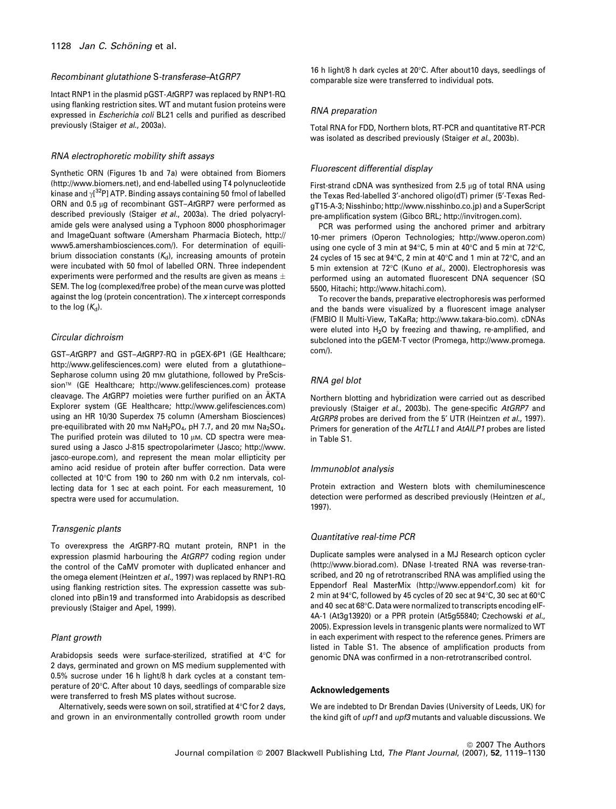#### Recombinant glutathione S-transferase–AtGRP7

Intact RNP1 in the plasmid pGST-AtGRP7 was replaced by RNP1-RQ using flanking restriction sites. WT and mutant fusion proteins were expressed in Escherichia coli BL21 cells and purified as described previously (Staiger et al., 2003a).

#### RNA electrophoretic mobility shift assays

Synthetic ORN (Figures 1b and 7a) were obtained from Biomers (http://www.biomers.net), and end-labelled using T4 polynucleotide kinase and  $\gamma$ [<sup>32</sup>P] ATP. Binding assays containing 50 fmol of labelled ORN and 0.5  $\mu$ g of recombinant GST–AtGRP7 were performed as described previously (Staiger et al., 2003a). The dried polyacrylamide gels were analysed using a Typhoon 8000 phosphorimager and ImageQuant software (Amersham Pharmacia Biotech, http:// www5.amershambiosciences.com/). For determination of equilibrium dissociation constants  $(K_d)$ , increasing amounts of protein were incubated with 50 fmol of labelled ORN. Three independent experiments were performed and the results are given as means  $\pm$ SEM. The log (complexed/free probe) of the mean curve was plotted against the log (protein concentration). The  $x$  intercept corresponds to the log  $(K_d)$ .

## Circular dichroism

GST–AtGRP7 and GST–AtGRP7-RQ in pGEX-6P1 (GE Healthcare; http://www.gelifesciences.com) were eluted from a glutathione-Sepharose column using 20 mm glutathione, followed by PreScission- (GE Healthcare; http://www.gelifesciences.com) protease cleavage. The AtGRP7 moieties were further purified on an AKTA Explorer system (GE Healthcare; http://www.gelifesciences.com) using an HR 10/30 Superdex 75 column (Amersham Biosciences) pre-equilibrated with 20 mm  $Nah_2PO_A$ , pH 7.7, and 20 mm  $Nah_2SO_4$ . The purified protein was diluted to 10  $µ$ M. CD spectra were measured using a Jasco J-815 spectropolarimeter (Jasco; http://www. jasco-europe.com), and represent the mean molar ellipticity per amino acid residue of protein after buffer correction. Data were collected at 10°C from 190 to 260 nm with 0.2 nm intervals, collecting data for 1 sec at each point. For each measurement, 10 spectra were used for accumulation.

## Transgenic plants

To overexpress the AtGRP7-RQ mutant protein, RNP1 in the expression plasmid harbouring the AtGRP7 coding region under the control of the CaMV promoter with duplicated enhancer and the omega element (Heintzen et al., 1997) was replaced by RNP1-RQ using flanking restriction sites. The expression cassette was subcloned into pBin19 and transformed into Arabidopsis as described previously (Staiger and Apel, 1999).

## Plant growth

Arabidopsis seeds were surface-sterilized, stratified at 4°C for 2 days, germinated and grown on MS medium supplemented with 0.5% sucrose under 16 h light/8 h dark cycles at a constant temperature of 20°C. After about 10 days, seedlings of comparable size were transferred to fresh MS plates without sucrose.

Alternatively, seeds were sown on soil, stratified at  $4^{\circ}$ C for 2 days, and grown in an environmentally controlled growth room under

16 h light/8 h dark cycles at  $20^{\circ}$ C. After about 10 days, seedlings of comparable size were transferred to individual pots.

#### RNA preparation

Total RNA for FDD, Northern blots, RT-PCR and quantitative RT-PCR was isolated as described previously (Staiger et al., 2003b).

## Fluorescent differential display

First-strand cDNA was synthesized from 2.5  $\mu$ g of total RNA using the Texas Red-labelled 3'-anchored oligo(dT) primer (5'-Texas RedgT15-A-3; Nisshinbo; http://www.nisshinbo.co.jp) and a SuperScript pre-amplification system (Gibco BRL; http://invitrogen.com).

PCR was performed using the anchored primer and arbitrary 10-mer primers (Operon Technologies; http://www.operon.com) using one cycle of 3 min at  $94^{\circ}$ C, 5 min at  $40^{\circ}$ C and 5 min at  $72^{\circ}$ C, 24 cycles of 15 sec at  $94^{\circ}$ C, 2 min at  $40^{\circ}$ C and 1 min at  $72^{\circ}$ C, and an 5 min extension at 72°C (Kuno et al., 2000). Electrophoresis was performed using an automated fluorescent DNA sequencer (SQ 5500, Hitachi; http://www.hitachi.com).

To recover the bands, preparative electrophoresis was performed and the bands were visualized by a fluorescent image analyser (FMBIO II Multi-View, TaKaRa; http://www.takara-bio.com). cDNAs were eluted into  $H<sub>2</sub>O$  by freezing and thawing, re-amplified, and subcloned into the pGEM-T vector (Promega, http://www.promega. com/).

## RNA gel blot

Northern blotting and hybridization were carried out as described previously (Staiger et al., 2003b). The gene-specific AtGRP7 and AtGRP8 probes are derived from the 5<sup>'</sup> UTR (Heintzen et al., 1997). Primers for generation of the AtTLL1 and AtAILP1 probes are listed in Table S1.

#### Immunoblot analysis

Protein extraction and Western blots with chemiluminescence detection were performed as described previously (Heintzen et al., 1997).

## Quantitative real-time PCR

Duplicate samples were analysed in a MJ Research opticon cycler (http://www.biorad.com). DNase I-treated RNA was reverse-transcribed, and 20 ng of retrotranscribed RNA was amplified using the Eppendorf Real MasterMix (http://www.eppendorf.com) kit for 2 min at 94°C, followed by 45 cycles of 20 sec at 94°C, 30 sec at 60°C and 40 sec at 68°C. Data were normalized to transcripts encoding elF-4A-1 (At3g13920) or a PPR protein (At5g55840; Czechowski et al., 2005). Expression levels in transgenic plants were normalized to WT in each experiment with respect to the reference genes. Primers are listed in Table S1. The absence of amplification products from genomic DNA was confirmed in a non-retrotranscribed control.

#### Acknowledgements

We are indebted to Dr Brendan Davies (University of Leeds, UK) for the kind gift of *upf1* and *upf3* mutants and valuable discussions. We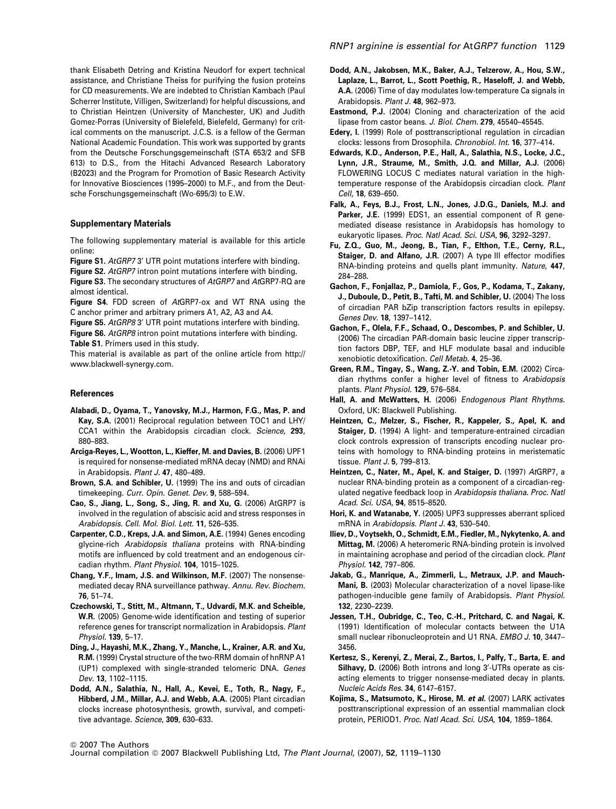thank Elisabeth Detring and Kristina Neudorf for expert technical assistance, and Christiane Theiss for purifying the fusion proteins for CD measurements. We are indebted to Christian Kambach (Paul Scherrer Institute, Villigen, Switzerland) for helpful discussions, and to Christian Heintzen (University of Manchester, UK) and Judith Gomez-Porras (University of Bielefeld, Bielefeld, Germany) for critical comments on the manuscript. J.C.S. is a fellow of the German National Academic Foundation. This work was supported by grants from the Deutsche Forschungsgemeinschaft (STA 653/2 and SFB 613) to D.S., from the Hitachi Advanced Research Laboratory (B2023) and the Program for Promotion of Basic Research Activity for Innovative Biosciences (1995–2000) to M.F., and from the Deutsche Forschungsgemeinschaft (Wo-695/3) to E.W.

#### Supplementary Materials

The following supplementary material is available for this article online:

Figure S1. AtGRP7 3' UTR point mutations interfere with binding. Figure S2. AtGRP7 intron point mutations interfere with binding.

Figure S3. The secondary structures of AtGRP7 and AtGRP7-RQ are almost identical.

Figure S4. FDD screen of AtGRP7-ox and WT RNA using the C anchor primer and arbitrary primers A1, A2, A3 and A4.

Figure S5. AtGRP8 3' UTR point mutations interfere with binding. Figure S6. AtGRP8 intron point mutations interfere with binding. Table S1. Primers used in this study.

This material is available as part of the online article from http:// www.blackwell-synergy.com.

#### **References**

- Alabadi, D., Oyama, T., Yanovsky, M.J., Harmon, F.G., Mas, P. and Kay, S.A. (2001) Reciprocal regulation between TOC1 and LHY/ CCA1 within the Arabidopsis circadian clock. Science, 293, 880–883.
- Arciga-Reyes, L., Wootton, L., Kieffer, M. and Davies, B. (2006) UPF1 is required for nonsense-mediated mRNA decay (NMD) and RNAi in Arabidopsis. Plant J. 47, 480–489.
- Brown, S.A. and Schibler, U. (1999) The ins and outs of circadian timekeeping. Curr. Opin. Genet. Dev. 9, 588–594.
- Cao, S., Jiang, L., Song, S., Jing, R. and Xu, G. (2006) AtGRP7 is involved in the regulation of abscisic acid and stress responses in Arabidopsis. Cell. Mol. Biol. Lett. 11, 526–535.
- Carpenter, C.D., Kreps, J.A. and Simon, A.E. (1994) Genes encoding glycine-rich Arabidopsis thaliana proteins with RNA-binding motifs are influenced by cold treatment and an endogenous circadian rhythm. Plant Physiol. 104, 1015–1025.
- Chang, Y.F., Imam, J.S. and Wilkinson, M.F. (2007) The nonsensemediated decay RNA surveillance pathway. Annu. Rev. Biochem. 76, 51–74.
- Czechowski, T., Stitt, M., Altmann, T., Udvardi, M.K. and Scheible, W.R. (2005) Genome-wide identification and testing of superior reference genes for transcript normalization in Arabidopsis. Plant Physiol. 139, 5–17.
- Ding, J., Hayashi, M.K., Zhang, Y., Manche, L., Krainer, A.R. and Xu, R.M. (1999) Crystal structure of the two-RRM domain of hnRNP A1 (UP1) complexed with single-stranded telomeric DNA. Genes Dev. 13, 1102–1115.
- Dodd, A.N., Salathia, N., Hall, A., Kevei, E., Toth, R., Nagy, F., Hibberd, J.M., Millar, A.J. and Webb, A.A. (2005) Plant circadian clocks increase photosynthesis, growth, survival, and competitive advantage. Science, 309, 630–633.
- Dodd, A.N., Jakobsen, M.K., Baker, A.J., Telzerow, A., Hou, S.W., Laplaze, L., Barrot, L., Scott Poethig, R., Haseloff, J. and Webb, A.A. (2006) Time of day modulates low-temperature Ca signals in Arabidopsis. Plant J. 48, 962–973.
- Eastmond, P.J. (2004) Cloning and characterization of the acid lipase from castor beans. J. Biol. Chem. 279, 45540–45545.
- Edery, I. (1999) Role of posttranscriptional regulation in circadian clocks: lessons from Drosophila. Chronobiol. Int. 16, 377–414.
- Edwards, K.D., Anderson, P.E., Hall, A., Salathia, N.S., Locke, J.C., Lynn, J.R., Straume, M., Smith, J.Q. and Millar, A.J. (2006) FLOWERING LOCUS C mediates natural variation in the hightemperature response of the Arabidopsis circadian clock. Plant Cell, 18, 639–650.
- Falk, A., Feys, B.J., Frost, L.N., Jones, J.D.G., Daniels, M.J. and Parker, J.E. (1999) EDS1, an essential component of R genemediated disease resistance in Arabidopsis has homology to eukaryotic lipases. Proc. Natl Acad. Sci. USA, 96, 3292–3297.
- Fu, Z.Q., Guo, M., Jeong, B., Tian, F., Elthon, T.E., Cerny, R.L., Staiger, D. and Alfano, J.R. (2007) A type III effector modifies RNA-binding proteins and quells plant immunity. Nature, 447, 284–288.
- Gachon, F., Fonjallaz, P., Damiola, F., Gos, P., Kodama, T., Zakany, J., Duboule, D., Petit, B., Tafti, M. and Schibler, U. (2004) The loss of circadian PAR bZip transcription factors results in epilepsy. Genes Dev. 18, 1397–1412.
- Gachon, F., Olela, F.F., Schaad, O., Descombes, P. and Schibler, U. (2006) The circadian PAR-domain basic leucine zipper transcription factors DBP, TEF, and HLF modulate basal and inducible xenobiotic detoxification. Cell Metab. 4, 25–36.
- Green, R.M., Tingay, S., Wang, Z.-Y. and Tobin, E.M. (2002) Circadian rhythms confer a higher level of fitness to Arabidopsis plants. Plant Physiol. 129, 576–584.
- Hall, A. and McWatters, H. (2006) Endogenous Plant Rhythms. Oxford, UK: Blackwell Publishing.
- Heintzen, C., Melzer, S., Fischer, R., Kappeler, S., Apel, K. and Staiger, D. (1994) A light- and temperature-entrained circadian clock controls expression of transcripts encoding nuclear proteins with homology to RNA-binding proteins in meristematic tissue. Plant J. 5, 799–813.
- Heintzen, C., Nater, M., Apel, K. and Staiger, D. (1997) AtGRP7, a nuclear RNA-binding protein as a component of a circadian-regulated negative feedback loop in Arabidopsis thaliana. Proc. Natl Acad. Sci. USA, 94, 8515–8520.
- Hori, K. and Watanabe, Y. (2005) UPF3 suppresses aberrant spliced mRNA in Arabidopsis. Plant J. 43, 530–540.
- Iliev, D., Voytsekh, O., Schmidt, E.M., Fiedler, M., Nykytenko, A. and Mittag, M. (2006) A heteromeric RNA-binding protein is involved in maintaining acrophase and period of the circadian clock. Plant Physiol. 142, 797–806.
- Jakab, G., Manrique, A., Zimmerli, L., Metraux, J.P. and Mauch-Mani, B. (2003) Molecular characterization of a novel lipase-like pathogen-inducible gene family of Arabidopsis. Plant Physiol. 132, 2230–2239.
- Jessen, T.H., Oubridge, C., Teo, C.-H., Pritchard, C. and Nagai, K. (1991) Identification of molecular contacts between the U1A small nuclear ribonucleoprotein and U1 RNA. EMBO J. 10, 3447-3456.
- Kertesz, S., Kerenyi, Z., Merai, Z., Bartos, I., Palfy, T., Barta, E. and Silhavy, D. (2006) Both introns and long 3'-UTRs operate as cisacting elements to trigger nonsense-mediated decay in plants. Nucleic Acids Res. 34, 6147–6157.
- Kojima, S., Matsumoto, K., Hirose, M. et al. (2007) LARK activates posttranscriptional expression of an essential mammalian clock protein, PERIOD1. Proc. Natl Acad. Sci. USA, 104, 1859–1864.

<sup>©</sup> 2007 The Authors

Journal compilation © 2007 Blackwell Publishing Ltd, The Plant Journal, (2007), 52, 1119-1130